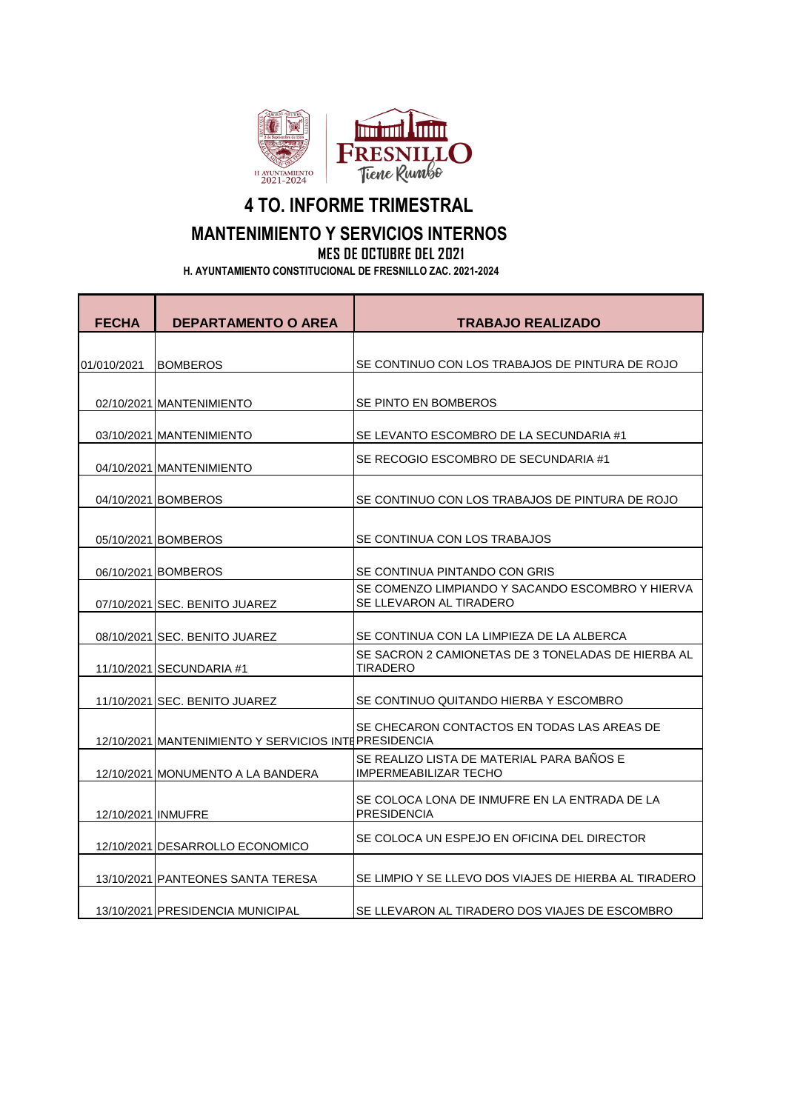

## **4 TO. INFORME TRIMESTRAL MANTENIMIENTO Y SERVICIOS INTERNOS MES DE OCTUBRE DEL 2021**

 **H. AYUNTAMIENTO CONSTITUCIONAL DE FRESNILLO ZAC. 2021-2024**

| <b>FECHA</b>       | <b>DEPARTAMENTO O AREA</b>                           | <b>TRABAJO REALIZADO</b>                                                    |
|--------------------|------------------------------------------------------|-----------------------------------------------------------------------------|
| 01/010/2021        | <b>BOMBEROS</b>                                      | SE CONTINUO CON LOS TRABAJOS DE PINTURA DE ROJO                             |
|                    | 02/10/2021 MANTENIMIENTO                             | SE PINTO EN BOMBEROS                                                        |
|                    | 03/10/2021 MANTENIMIENTO                             | SE LEVANTO ESCOMBRO DE LA SECUNDARIA #1                                     |
|                    | 04/10/2021 MANTENIMIENTO                             | SE RECOGIO ESCOMBRO DE SECUNDARIA #1                                        |
|                    | 04/10/2021 BOMBEROS                                  | SE CONTINUO CON LOS TRABAJOS DE PINTURA DE ROJO                             |
|                    | 05/10/2021 BOMBEROS                                  | SE CONTINUA CON LOS TRABAJOS                                                |
|                    | 06/10/2021 BOMBEROS                                  | SE CONTINUA PINTANDO CON GRIS                                               |
|                    | 07/10/2021 SEC. BENITO JUAREZ                        | SE COMENZO LIMPIANDO Y SACANDO ESCOMBRO Y HIERVA<br>SE LLEVARON AL TIRADERO |
|                    | 08/10/2021 SEC. BENITO JUAREZ                        | SE CONTINUA CON LA LIMPIEZA DE LA ALBERCA                                   |
|                    | 11/10/2021 SECUNDARIA #1                             | SE SACRON 2 CAMIONETAS DE 3 TONELADAS DE HIERBA AL<br><b>TIRADERO</b>       |
|                    | 11/10/2021 SEC. BENITO JUAREZ                        | SE CONTINUO QUITANDO HIERBA Y ESCOMBRO                                      |
|                    | 12/10/2021 MANTENIMIENTO Y SERVICIOS INTEPRESIDENCIA | SE CHECARON CONTACTOS EN TODAS LAS AREAS DE                                 |
|                    | 12/10/2021 MONUMENTO A LA BANDERA                    | SE REALIZO LISTA DE MATERIAL PARA BAÑOS E<br><b>IMPERMEABILIZAR TECHO</b>   |
| 12/10/2021 INMUFRE |                                                      | SE COLOCA LONA DE INMUFRE EN LA ENTRADA DE LA<br><b>PRESIDENCIA</b>         |
|                    | 12/10/2021 DESARROLLO ECONOMICO                      | SE COLOCA UN ESPEJO EN OFICINA DEL DIRECTOR                                 |
|                    | 13/10/2021 PANTEONES SANTA TERESA                    | SE LIMPIO Y SE LLEVO DOS VIAJES DE HIERBA AL TIRADERO                       |
|                    | 13/10/2021 PRESIDENCIA MUNICIPAL                     | SE LLEVARON AL TIRADERO DOS VIAJES DE ESCOMBRO                              |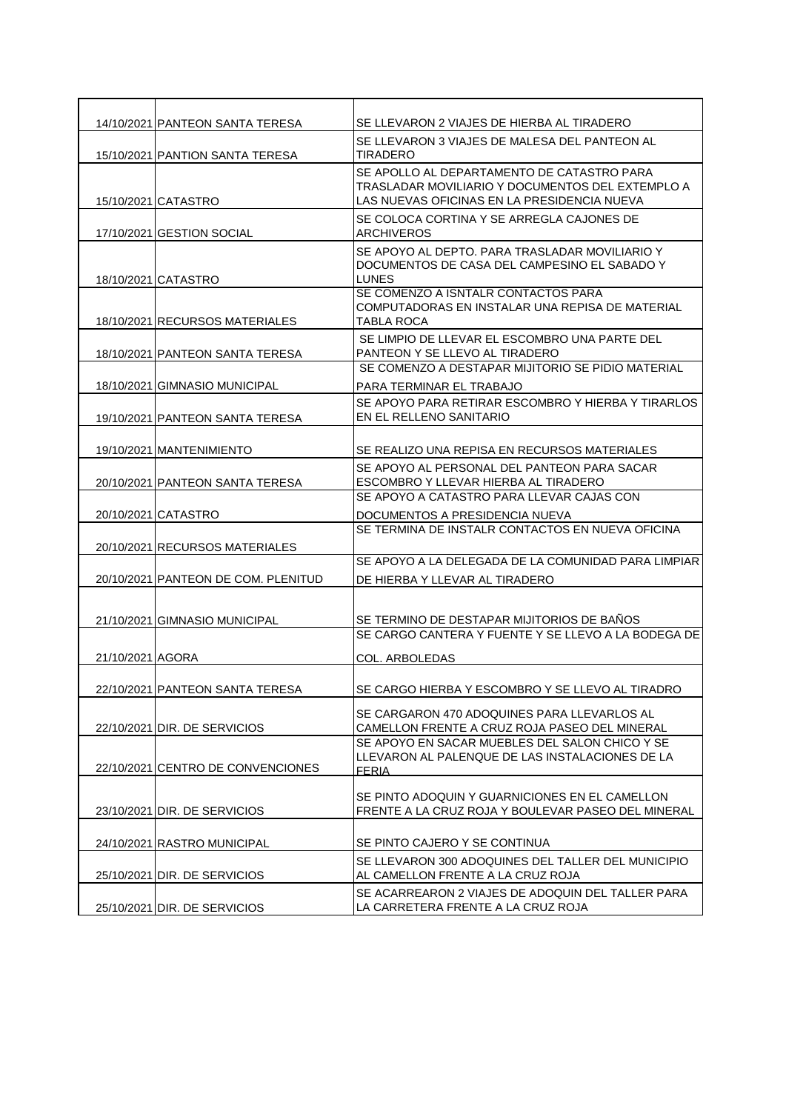|                     | 14/10/2021 PANTEON SANTA TERESA     | SE LLEVARON 2 VIAJES DE HIERBA AL TIRADERO                                                                                                    |
|---------------------|-------------------------------------|-----------------------------------------------------------------------------------------------------------------------------------------------|
|                     | 15/10/2021 PANTION SANTA TERESA     | SE LLEVARON 3 VIAJES DE MALESA DEL PANTEON AL<br>TIRADERO                                                                                     |
| 15/10/2021 CATASTRO |                                     | SE APOLLO AL DEPARTAMENTO DE CATASTRO PARA<br>TRASLADAR MOVILIARIO Y DOCUMENTOS DEL EXTEMPLO A<br>LAS NUEVAS OFICINAS EN LA PRESIDENCIA NUEVA |
|                     | 17/10/2021 GESTION SOCIAL           | SE COLOCA CORTINA Y SE ARREGLA CAJONES DE<br>ARCHIVEROS                                                                                       |
| 18/10/2021 CATASTRO |                                     | SE APOYO AL DEPTO. PARA TRASLADAR MOVILIARIO Y<br>DOCUMENTOS DE CASA DEL CAMPESINO EL SABADO Y<br><b>LUNES</b>                                |
|                     | 18/10/2021 RECURSOS MATERIALES      | SE COMENZO A ISNTALR CONTACTOS PARA<br>COMPUTADORAS EN INSTALAR UNA REPISA DE MATERIAL<br>TABLA ROCA                                          |
|                     | 18/10/2021 PANTEON SANTA TERESA     | SE LIMPIO DE LLEVAR EL ESCOMBRO UNA PARTE DEL<br>PANTEON Y SE LLEVO AL TIRADERO                                                               |
|                     |                                     | SE COMENZO A DESTAPAR MIJITORIO SE PIDIO MATERIAL                                                                                             |
|                     | 18/10/2021 GIMNASIO MUNICIPAL       | PARA TERMINAR EL TRABAJO                                                                                                                      |
|                     | 19/10/2021 PANTEON SANTA TERESA     | SE APOYO PARA RETIRAR ESCOMBRO Y HIERBA Y TIRARLOS<br>EN EL RELLENO SANITARIO                                                                 |
|                     | 19/10/2021 MANTENIMIENTO            | SE REALIZO UNA REPISA EN RECURSOS MATERIALES                                                                                                  |
|                     | 20/10/2021 PANTEON SANTA TERESA     | SE APOYO AL PERSONAL DEL PANTEON PARA SACAR<br>ESCOMBRO Y LLEVAR HIERBA AL TIRADERO                                                           |
|                     |                                     | SE APOYO A CATASTRO PARA LLEVAR CAJAS CON                                                                                                     |
| 20/10/2021 CATASTRO |                                     | DOCUMENTOS A PRESIDENCIA NUEVA                                                                                                                |
|                     | 20/10/2021 RECURSOS MATERIALES      | SE TERMINA DE INSTALR CONTACTOS EN NUEVA OFICINA                                                                                              |
|                     |                                     | SE APOYO A LA DELEGADA DE LA COMUNIDAD PARA LIMPIAR                                                                                           |
|                     | 20/10/2021 PANTEON DE COM. PLENITUD | DE HIERBA Y LLEVAR AL TIRADERO                                                                                                                |
|                     | 21/10/2021 GIMNASIO MUNICIPAL       | SE TERMINO DE DESTAPAR MIJITORIOS DE BAÑOS<br>SE CARGO CANTERA Y FUENTE Y SE LLEVO A LA BODEGA DE                                             |
| 21/10/2021 AGORA    |                                     | COL. ARBOLEDAS                                                                                                                                |
|                     | 22/10/2021 PANTEON SANTA TERESA     | SE CARGO HIERBA Y ESCOMBRO Y SE LLEVO AL TIRADRO                                                                                              |
|                     | 22/10/2021 DIR. DE SERVICIOS        | SE CARGARON 470 ADOQUINES PARA LLEVARLOS AL<br>CAMELLON FRENTE A CRUZ ROJA PASEO DEL MINERAL                                                  |
|                     | 22/10/2021 CENTRO DE CONVENCIONES   | SE APOYO EN SACAR MUEBLES DEL SALON CHICO Y SE<br>LLEVARON AL PALENQUE DE LAS INSTALACIONES DE LA<br><b>FERIA</b>                             |
|                     | 23/10/2021 DIR. DE SERVICIOS        | SE PINTO ADOQUIN Y GUARNICIONES EN EL CAMELLON<br>FRENTE A LA CRUZ ROJA Y BOULEVAR PASEO DEL MINERAL                                          |
|                     | 24/10/2021 RASTRO MUNICIPAL         | SE PINTO CAJERO Y SE CONTINUA                                                                                                                 |
|                     | 25/10/2021 DIR. DE SERVICIOS        | SE LLEVARON 300 ADOQUINES DEL TALLER DEL MUNICIPIO<br>AL CAMELLON FRENTE A LA CRUZ ROJA                                                       |
|                     | 25/10/2021 DIR. DE SERVICIOS        | SE ACARREARON 2 VIAJES DE ADOQUIN DEL TALLER PARA<br>LA CARRETERA FRENTE A LA CRUZ ROJA                                                       |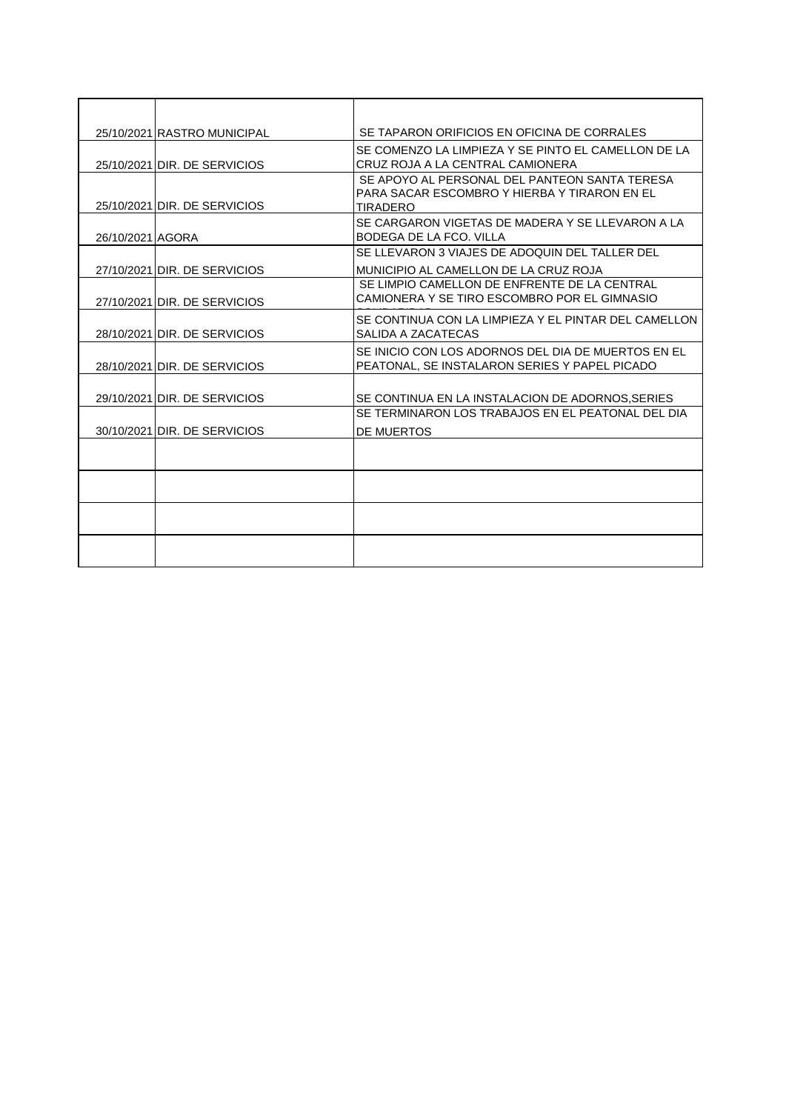|                  | 25/10/2021 RASTRO MUNICIPAL  | SE TAPARON ORIFICIOS EN OFICINA DE CORRALES                                                                      |
|------------------|------------------------------|------------------------------------------------------------------------------------------------------------------|
|                  | 25/10/2021 DIR. DE SERVICIOS | SE COMENZO LA LIMPIEZA Y SE PINTO EL CAMELLON DE LA<br>CRUZ ROJA A LA CENTRAL CAMIONERA                          |
|                  | 25/10/2021 DIR. DE SERVICIOS | SE APOYO AL PERSONAL DEL PANTEON SANTA TERESA<br>PARA SACAR ESCOMBRO Y HIERBA Y TIRARON EN EL<br><b>TIRADERO</b> |
| 26/10/2021 AGORA |                              | SE CARGARON VIGETAS DE MADERA Y SE LLEVARON A LA<br>BODEGA DE LA FCO. VILLA                                      |
|                  | 27/10/2021 DIR. DE SERVICIOS | SE LLEVARON 3 VIAJES DE ADOQUIN DEL TALLER DEL<br>MUNICIPIO AL CAMELLON DE LA CRUZ ROJA                          |
|                  | 27/10/2021 DIR. DE SERVICIOS | SE LIMPIO CAMELLON DE ENFRENTE DE LA CENTRAL<br>CAMIONERA Y SE TIRO ESCOMBRO POR EL GIMNASIO                     |
|                  | 28/10/2021 DIR. DE SERVICIOS | SE CONTINUA CON LA LIMPIEZA Y EL PINTAR DEL CAMELLON<br>SALIDA A ZACATECAS                                       |
|                  | 28/10/2021 DIR. DE SERVICIOS | SE INICIO CON LOS ADORNOS DEL DIA DE MUERTOS EN EL<br>PEATONAL, SE INSTALARON SERIES Y PAPEL PICADO              |
|                  | 29/10/2021 DIR. DE SERVICIOS | SE CONTINUA EN LA INSTALACION DE ADORNOS, SERIES                                                                 |
|                  | 30/10/2021 DIR. DE SERVICIOS | SE TERMINARON LOS TRABAJOS EN EL PEATONAL DEL DIA<br>DE MUERTOS                                                  |
|                  |                              |                                                                                                                  |
|                  |                              |                                                                                                                  |
|                  |                              |                                                                                                                  |
|                  |                              |                                                                                                                  |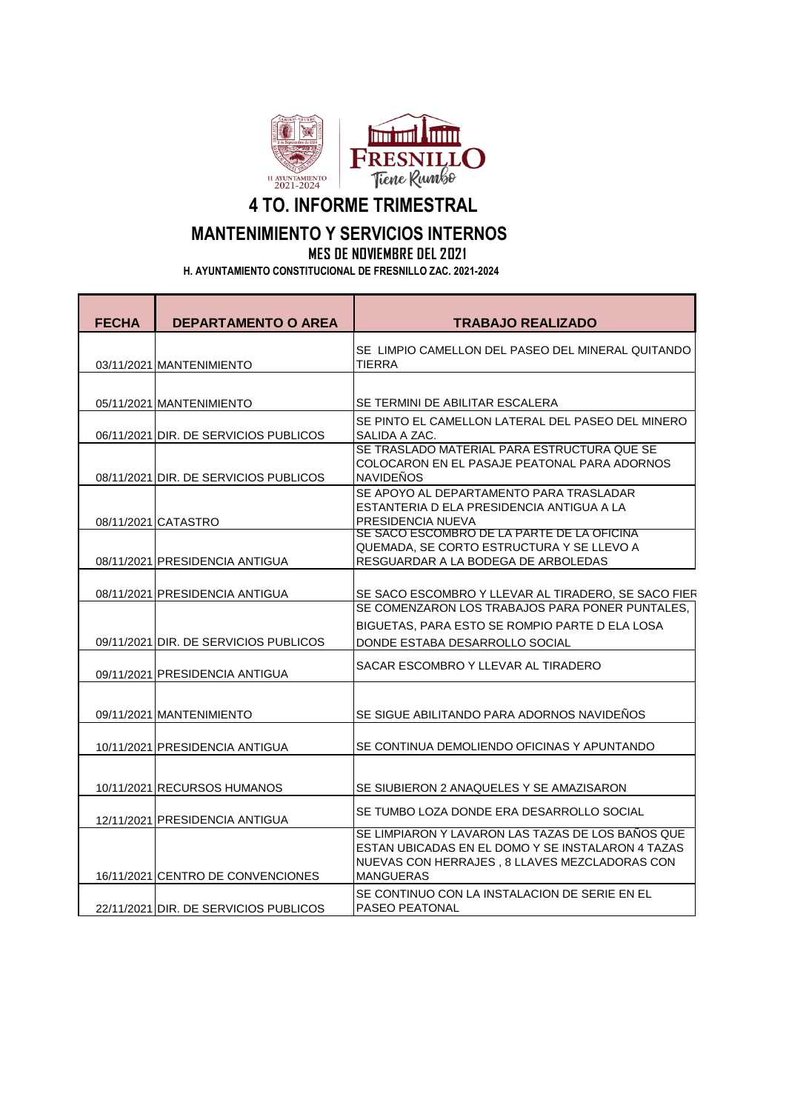

**4 TO. INFORME TRIMESTRAL**

## **MANTENIMIENTO Y SERVICIOS INTERNOS**

**MES DE NOVIEMBRE DEL 2021**

 **H. AYUNTAMIENTO CONSTITUCIONAL DE FRESNILLO ZAC. 2021-2024**

| <b>FECHA</b> | <b>DEPARTAMENTO O AREA</b>            | <b>TRABAJO REALIZADO</b>                                                                           |
|--------------|---------------------------------------|----------------------------------------------------------------------------------------------------|
|              |                                       | SE LIMPIO CAMELLON DEL PASEO DEL MINERAL QUITANDO                                                  |
|              | 03/11/2021 MANTENIMIENTO              | <b>TIERRA</b>                                                                                      |
|              |                                       |                                                                                                    |
|              | 05/11/2021 MANTENIMIENTO              | SE TERMINI DE ABILITAR ESCALERA                                                                    |
|              | 06/11/2021 DIR. DE SERVICIOS PUBLICOS | SE PINTO EL CAMELLON LATERAL DEL PASEO DEL MINERO<br>SALIDA A ZAC.                                 |
|              |                                       | SE TRASLADO MATERIAL PARA ESTRUCTURA QUE SE                                                        |
|              | 08/11/2021 DIR. DE SERVICIOS PUBLICOS | COLOCARON EN EL PASAJE PEATONAL PARA ADORNOS<br><b>NAVIDENOS</b>                                   |
|              |                                       | SE APOYO AL DEPARTAMENTO PARA TRASLADAR                                                            |
|              |                                       | ESTANTERIA D ELA PRESIDENCIA ANTIGUA A LA<br>PRESIDENCIA NUEVA                                     |
|              | 08/11/2021 CATASTRO                   | SE SACO ESCOMBRO DE LA PARTE DE LA OFICINA                                                         |
|              |                                       | QUEMADA, SE CORTO ESTRUCTURA Y SE LLEVO A                                                          |
|              | 08/11/2021 PRESIDENCIA ANTIGUA        | RESGUARDAR A LA BODEGA DE ARBOLEDAS                                                                |
|              | 08/11/2021 PRESIDENCIA ANTIGUA        | SE SACO ESCOMBRO Y LLEVAR AL TIRADERO, SE SACO FIER                                                |
|              |                                       | SE COMENZARON LOS TRABAJOS PARA PONER PUNTALES.                                                    |
|              |                                       | BIGUETAS, PARA ESTO SE ROMPIO PARTE D ELA LOSA                                                     |
|              | 09/11/2021 DIR. DE SERVICIOS PUBLICOS | DONDE ESTABA DESARROLLO SOCIAL                                                                     |
|              | 09/11/2021 PRESIDENCIA ANTIGUA        | SACAR ESCOMBRO Y LLEVAR AL TIRADERO                                                                |
|              | 09/11/2021 MANTENIMIENTO              | SE SIGUE ABILITANDO PARA ADORNOS NAVIDEÑOS                                                         |
|              | 10/11/2021 PRESIDENCIA ANTIGUA        | SE CONTINUA DEMOLIENDO OFICINAS Y APUNTANDO                                                        |
|              | 10/11/2021 RECURSOS HUMANOS           | SE SIUBIERON 2 ANAQUELES Y SE AMAZISARON                                                           |
|              | 12/11/2021 PRESIDENCIA ANTIGUA        | SE TUMBO LOZA DONDE ERA DESARROLLO SOCIAL                                                          |
|              |                                       | SE LIMPIARON Y LAVARON LAS TAZAS DE LOS BAÑOS QUE                                                  |
|              |                                       | ESTAN UBICADAS EN EL DOMO Y SE INSTALARON 4 TAZAS<br>NUEVAS CON HERRAJES, 8 LLAVES MEZCLADORAS CON |
|              | 16/11/2021 CENTRO DE CONVENCIONES     | <b>MANGUERAS</b>                                                                                   |
|              |                                       | SE CONTINUO CON LA INSTALACION DE SERIE EN EL                                                      |
|              | 22/11/2021 DIR. DE SERVICIOS PUBLICOS | <b>PASEO PEATONAL</b>                                                                              |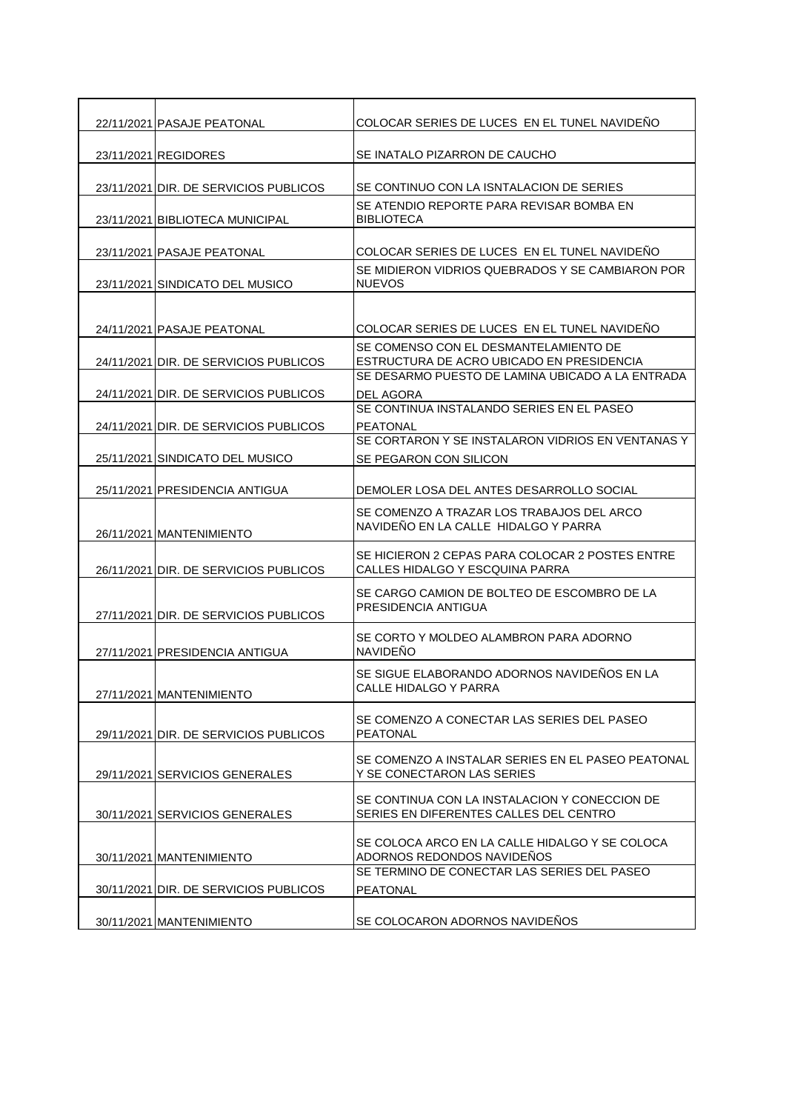| 22/11/2021 PASAJE PEATONAL            | COLOCAR SERIES DE LUCES EN EL TUNEL NAVIDEÑO                                            |
|---------------------------------------|-----------------------------------------------------------------------------------------|
| 23/11/2021 REGIDORES                  | SE INATALO PIZARRON DE CAUCHO                                                           |
|                                       |                                                                                         |
| 23/11/2021 DIR. DE SERVICIOS PUBLICOS | SE CONTINUO CON LA ISNTALACION DE SERIES                                                |
| 23/11/2021 BIBLIOTECA MUNICIPAL       | SE ATENDIO REPORTE PARA REVISAR BOMBA EN<br><b>BIBLIOTECA</b>                           |
| 23/11/2021 PASAJE PEATONAL            | COLOCAR SERIES DE LUCES EN EL TUNEL NAVIDEÑO                                            |
| 23/11/2021 SINDICATO DEL MUSICO       | SE MIDIERON VIDRIOS QUEBRADOS Y SE CAMBIARON POR<br><b>NUEVOS</b>                       |
|                                       |                                                                                         |
| 24/11/2021 PASAJE PEATONAL            | COLOCAR SERIES DE LUCES EN EL TUNEL NAVIDEÑO                                            |
| 24/11/2021 DIR. DE SERVICIOS PUBLICOS | SE COMENSO CON EL DESMANTELAMIENTO DE<br>ESTRUCTURA DE ACRO UBICADO EN PRESIDENCIA      |
|                                       | SE DESARMO PUESTO DE LAMINA UBICADO A LA ENTRADA                                        |
| 24/11/2021 DIR. DE SERVICIOS PUBLICOS | DEL AGORA<br>SE CONTINUA INSTALANDO SERIES EN EL PASEO                                  |
| 24/11/2021 DIR. DE SERVICIOS PUBLICOS | <b>PEATONAL</b>                                                                         |
|                                       | SE CORTARON Y SE INSTALARON VIDRIOS EN VENTANAS Y                                       |
| 25/11/2021 SINDICATO DEL MUSICO       | SE PEGARON CON SILICON                                                                  |
| 25/11/2021 PRESIDENCIA ANTIGUA        | DEMOLER LOSA DEL ANTES DESARROLLO SOCIAL                                                |
| 26/11/2021 MANTENIMIENTO              | SE COMENZO A TRAZAR LOS TRABAJOS DEL ARCO<br>NAVIDEÑO EN LA CALLE HIDALGO Y PARRA       |
| 26/11/2021 DIR. DE SERVICIOS PUBLICOS | SE HICIERON 2 CEPAS PARA COLOCAR 2 POSTES ENTRE<br>CALLES HIDALGO Y ESCQUINA PARRA      |
| 27/11/2021 DIR. DE SERVICIOS PUBLICOS | SE CARGO CAMION DE BOLTEO DE ESCOMBRO DE LA<br>PRESIDENCIA ANTIGUA                      |
| 27/11/2021 PRESIDENCIA ANTIGUA        | SE CORTO Y MOLDEO ALAMBRON PARA ADORNO<br>NAVIDEÑO                                      |
| 27/11/2021   MANTENIMIENTO            | SE SIGUE ELABORANDO ADORNOS NAVIDEÑOS EN LA<br>CALLE HIDALGO Y PARRA                    |
|                                       | SE COMENZO A CONECTAR LAS SERIES DEL PASEO                                              |
| 29/11/2021 DIR. DE SERVICIOS PUBLICOS | <b>PEATONAL</b>                                                                         |
| 29/11/2021 SERVICIOS GENERALES        | SE COMENZO A INSTALAR SERIES EN EL PASEO PEATONAL<br>Y SE CONECTARON LAS SERIES         |
| 30/11/2021 SERVICIOS GENERALES        | SE CONTINUA CON LA INSTALACION Y CONECCION DE<br>SERIES EN DIFERENTES CALLES DEL CENTRO |
| 30/11/2021 MANTENIMIENTO              | SE COLOCA ARCO EN LA CALLE HIDALGO Y SE COLOCA<br>ADORNOS REDONDOS NAVIDEÑOS            |
| 30/11/2021 DIR. DE SERVICIOS PUBLICOS | SE TERMINO DE CONECTAR LAS SERIES DEL PASEO<br><b>PEATONAL</b>                          |
|                                       |                                                                                         |
| 30/11/2021 MANTENIMIENTO              | SE COLOCARON ADORNOS NAVIDEÑOS                                                          |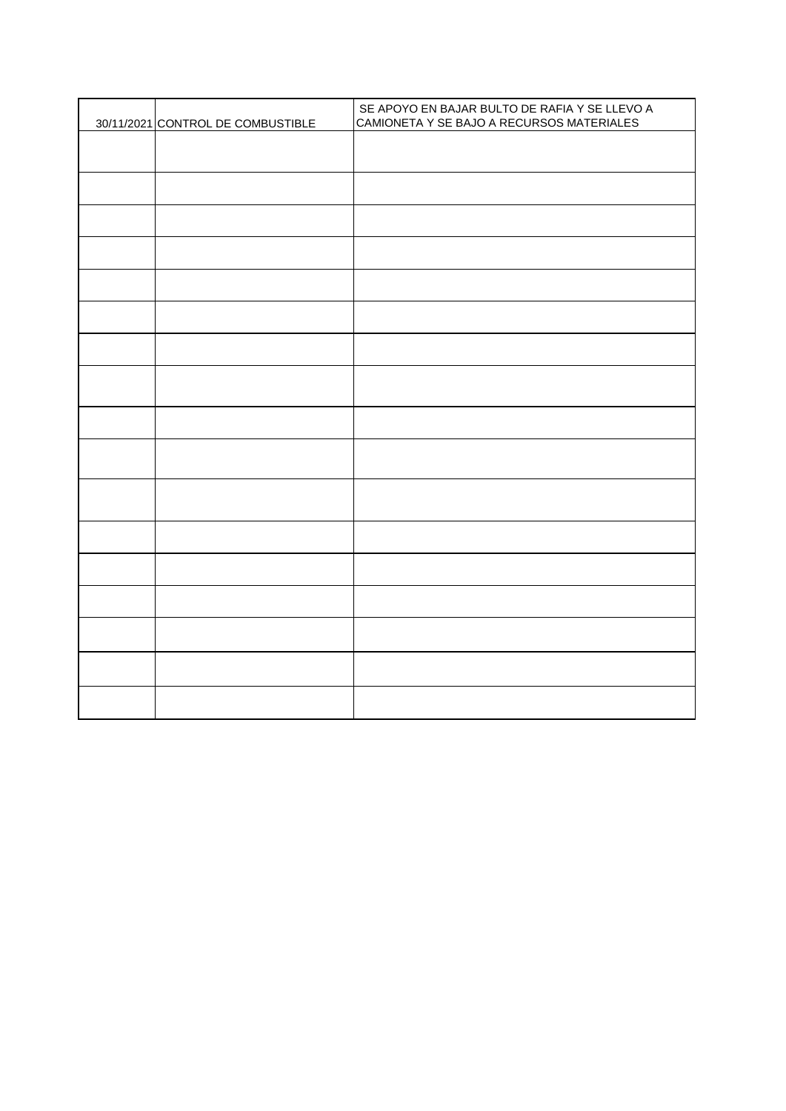| 30/11/2021 CONTROL DE COMBUSTIBLE | SE APOYO EN BAJAR BULTO DE RAFIA Y SE LLEVO A<br>CAMIONETA Y SE BAJO A RECURSOS MATERIALES |
|-----------------------------------|--------------------------------------------------------------------------------------------|
|                                   |                                                                                            |
|                                   |                                                                                            |
|                                   |                                                                                            |
|                                   |                                                                                            |
|                                   |                                                                                            |
|                                   |                                                                                            |
|                                   |                                                                                            |
|                                   |                                                                                            |
|                                   |                                                                                            |
|                                   |                                                                                            |
|                                   |                                                                                            |
|                                   |                                                                                            |
|                                   |                                                                                            |
|                                   |                                                                                            |
|                                   |                                                                                            |
|                                   |                                                                                            |
|                                   |                                                                                            |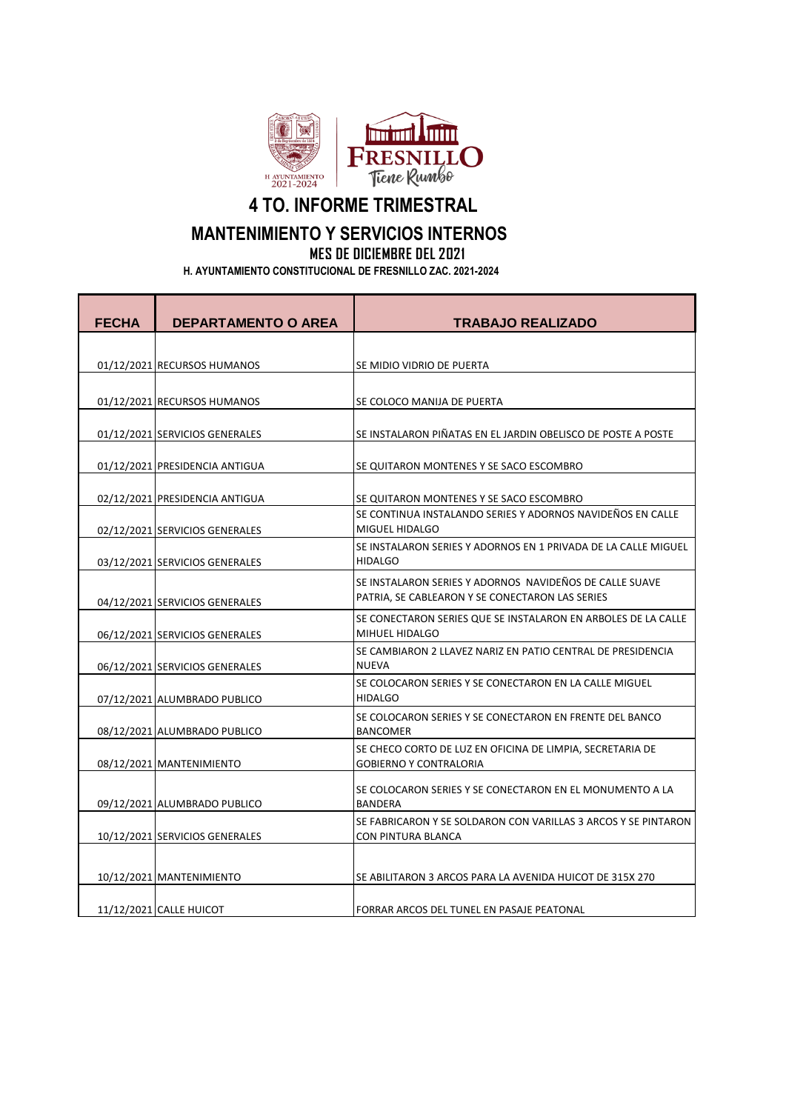

**4 TO. INFORME TRIMESTRAL**

## **MANTENIMIENTO Y SERVICIOS INTERNOS**

**MES DE DICIEMBRE DEL 2021**

 **H. AYUNTAMIENTO CONSTITUCIONAL DE FRESNILLO ZAC. 2021-2024**

| <b>FECHA</b> | <b>DEPARTAMENTO O AREA</b>     | <b>TRABAJO REALIZADO</b>                                                                                   |
|--------------|--------------------------------|------------------------------------------------------------------------------------------------------------|
|              |                                |                                                                                                            |
|              | 01/12/2021 RECURSOS HUMANOS    | SE MIDIO VIDRIO DE PUERTA                                                                                  |
|              | 01/12/2021 RECURSOS HUMANOS    | SE COLOCO MANIJA DE PUERTA                                                                                 |
|              | 01/12/2021 SERVICIOS GENERALES | SE INSTALARON PIÑATAS EN EL JARDIN OBELISCO DE POSTE A POSTE                                               |
|              | 01/12/2021 PRESIDENCIA ANTIGUA | SE QUITARON MONTENES Y SE SACO ESCOMBRO                                                                    |
|              | 02/12/2021 PRESIDENCIA ANTIGUA | SE QUITARON MONTENES Y SE SACO ESCOMBRO                                                                    |
|              | 02/12/2021 SERVICIOS GENERALES | SE CONTINUA INSTALANDO SERIES Y ADORNOS NAVIDEÑOS EN CALLE<br>MIGUEL HIDALGO                               |
|              | 03/12/2021 SERVICIOS GENERALES | SE INSTALARON SERIES Y ADORNOS EN 1 PRIVADA DE LA CALLE MIGUEL<br><b>HIDALGO</b>                           |
|              | 04/12/2021 SERVICIOS GENERALES | SE INSTALARON SERIES Y ADORNOS NAVIDEÑOS DE CALLE SUAVE<br>PATRIA, SE CABLEARON Y SE CONECTARON LAS SERIES |
|              | 06/12/2021 SERVICIOS GENERALES | SE CONECTARON SERIES QUE SE INSTALARON EN ARBOLES DE LA CALLE<br>MIHUEL HIDALGO                            |
|              | 06/12/2021 SERVICIOS GENERALES | SE CAMBIARON 2 LLAVEZ NARIZ EN PATIO CENTRAL DE PRESIDENCIA<br><b>NUEVA</b>                                |
|              | 07/12/2021 ALUMBRADO PUBLICO   | SE COLOCARON SERIES Y SE CONECTARON EN LA CALLE MIGUEL<br><b>HIDALGO</b>                                   |
|              | 08/12/2021 ALUMBRADO PUBLICO   | SE COLOCARON SERIES Y SE CONECTARON EN FRENTE DEL BANCO<br><b>BANCOMER</b>                                 |
|              | 08/12/2021 MANTENIMIENTO       | SE CHECO CORTO DE LUZ EN OFICINA DE LIMPIA, SECRETARIA DE<br><b>GOBIERNO Y CONTRALORIA</b>                 |
|              | 09/12/2021 ALUMBRADO PUBLICO   | SE COLOCARON SERIES Y SE CONECTARON EN EL MONUMENTO A LA<br><b>BANDERA</b>                                 |
|              | 10/12/2021 SERVICIOS GENERALES | SE FABRICARON Y SE SOLDARON CON VARILLAS 3 ARCOS Y SE PINTARON<br>CON PINTURA BLANCA                       |
|              | 10/12/2021 MANTENIMIENTO       | SE ABILITARON 3 ARCOS PARA LA AVENIDA HUICOT DE 315X 270                                                   |
|              | 11/12/2021 CALLE HUICOT        | FORRAR ARCOS DEL TUNEL EN PASAJE PEATONAL                                                                  |